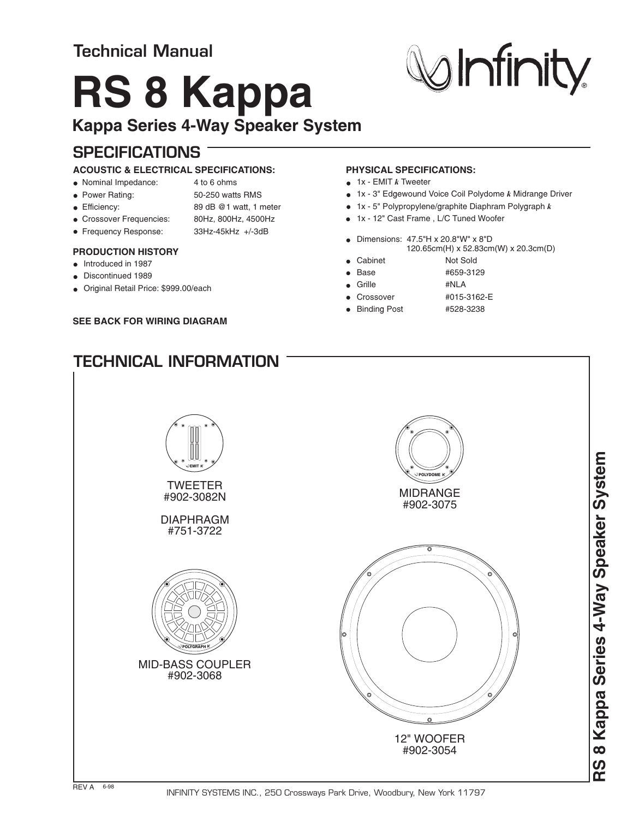## **Technical Manual**

# **RS 8 Kappa**

### **Kappa Series 4-Way Speaker System**

## **SPECIFICATIONS**

#### **ACOUSTIC & ELECTRICAL SPECIFICATIONS:**

- Nominal Impedance: 4 to 6 ohms
- 
- Power Rating: 50-250 watts RMS
- Efficiency: 89 dB @1 watt, 1 meter
- Crossover Frequencies: 80Hz, 800Hz, 4500Hz
- Frequency Response: 33Hz-45kHz +/-3dB
- 

#### **PRODUCTION HISTORY**

- Introduced in 1987
- **Discontinued 1989**
- Original Retail Price: \$999.00/each

#### **SEE BACK FOR WIRING DIAGRAM**

#### **PHYSICAL SPECIFICATIONS:**

- 1x EMIT *k* Tweeter
- 1x 3" Edgewound Voice Coil Polydome k Midrange Driver
- 1x 5" Polypropylene/graphite Diaphram Polygraph *k*
- 1x 12" Cast Frame , L/C Tuned Woofer
- Dimensions: 47.5"H x 20.8"W" x 8"D m(H) x 52.83cm(W) x 20.3cm(D)  $\overline{120.65c}$
- Cabinet Not Sold
	- Base #659-3129
	- Grille #NLA
- Crossover #015-3162-E
- Binding Post #528-3238
- **TECHNICAL INFORMATION**